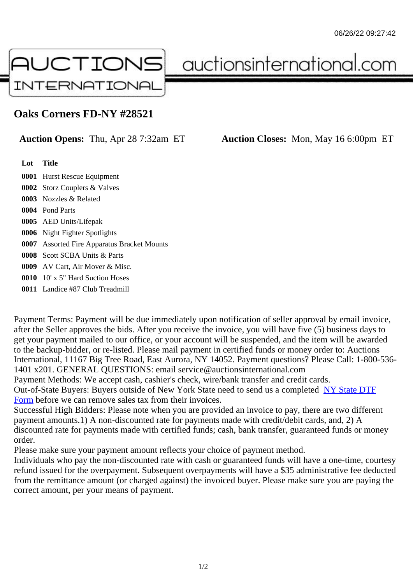## Oaks Corners FD-NY #28521

## Auction Opens: Thu, Apr 28 7:32am ET Auction Closes: Mon, May 16 6:00pm ET

Lot Title

 Hurst Rescue Equipment Storz Couplers & Valves Nozzles & Related Pond Parts AED Units/Lifepak Night Fighter Spotlights Assorted Fire Apparatus Bracket Mounts Scott SCBA Units & Parts AV Cart, Air Mover & Misc. 10' x 5" Hard Suction Hoses Landice #87 Club Treadmill

Payment Terms: Payment will be due immediately upon notification of seller approval by email invoice, after the Seller approves the bids. After you receive the invoice, you will have five (5) business days to get your payment mailed to our office, or your account will be suspended, and the item will be awarded to the backup-bidder, or re-listed. Please mail payment in certified funds or money order to: Auctions International, 11167 Big Tree Road, East Aurora, NY 14052. Payment questions? Please Call: 1-800-53 1401 x201. GENERAL QUESTIONS: email service@auctionsinternational.com

Payment Methods: We accept cash, cashier's check, wire/bank transfer and credit cards.

Out-of-State Buyers: Buyers outside of New York State need to send us a com We Gtate DTF Form before we can remove sales tax from their invoices.

Successful High Bidders: Please note when you are provided an invoice to pay, there are two different payment amounts.1) A non-discounted rate for payments made with credit/de[bit cards, and](https://www.auctionsinternational.com/auxiliary/downloads/DTF_Form/dtf_fill_in.pdf), 2) A [disco](https://www.auctionsinternational.com/auxiliary/downloads/DTF_Form/dtf_fill_in.pdf)unted rate for payments made with certified funds; cash, bank transfer, guaranteed funds or mone order.

Please make sure your payment amount reflects your choice of payment method.

Individuals who pay the non-discounted rate with cash or guaranteed funds will have a one-time, courte refund issued for the overpayment. Subsequent overpayments will have a \$35 administrative fee deduc from the remittance amount (or charged against) the invoiced buyer. Please make sure you are paying correct amount, per your means of payment.